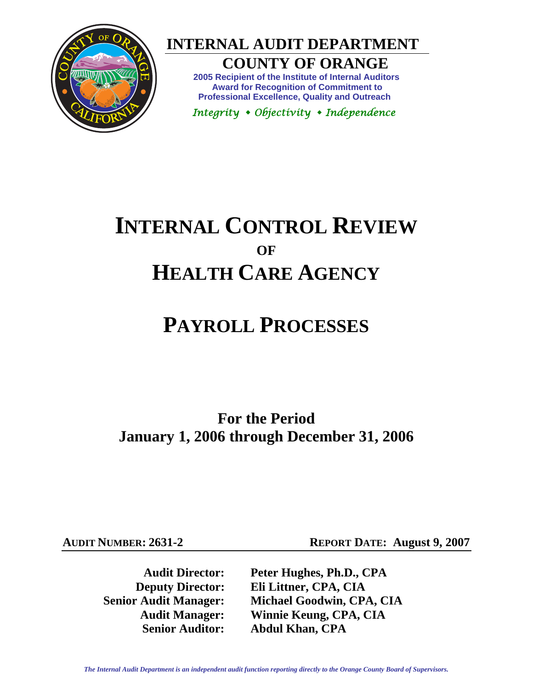

 **INTERNAL AUDIT DEPARTMENT** 

**COUNTY OF ORANGE** 

**2005 Recipient of the Institute of Internal Auditors Award for Recognition of Commitment to Professional Excellence, Quality and Outreach** 

 *Integrity Objectivity Independence* 

# **INTERNAL CONTROL REVIEW OF HEALTH CARE AGENCY**

# **PAYROLL PROCESSES**

**For the Period January 1, 2006 through December 31, 2006** 

**AUDIT NUMBER: 2631-2 REPORT DATE: August 9, 2007** 

**Audit Director: Peter Hughes, Ph.D., CPA Deputy Director: Eli Littner, CPA, CIA Senior Audit Manager: Michael Goodwin, CPA, CIA Audit Manager: Winnie Keung, CPA, CIA Senior Auditor: Abdul Khan, CPA**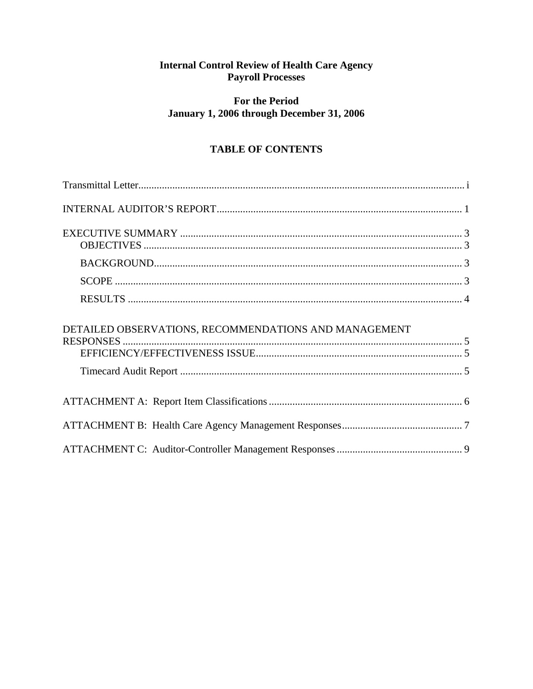# **Internal Control Review of Health Care Agency<br>Payroll Processes**

# **For the Period** January 1, 2006 through December 31, 2006

# **TABLE OF CONTENTS**

| DETAILED OBSERVATIONS, RECOMMENDATIONS AND MANAGEMENT |  |
|-------------------------------------------------------|--|
|                                                       |  |
|                                                       |  |
|                                                       |  |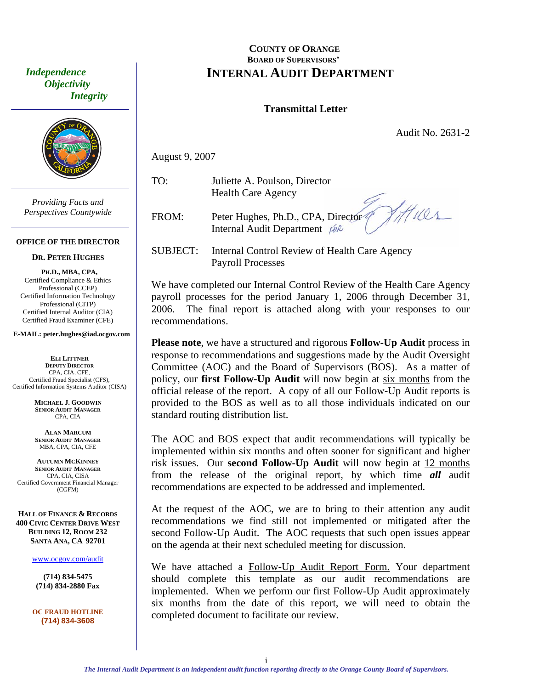<span id="page-2-0"></span> *Independence Objectivity Integrity* 



*Providing Facts and Perspectives Countywide* 

#### **OFFICE OF THE DIRECTOR**

#### **DR. PETER HUGHES**

**PH.D., MBA, CPA,**  Certified Compliance & Ethics Professional (CCEP) Certified Information Technology Professional (CITP) Certified Internal Auditor (CIA) Certified Fraud Examiner (CFE)

**E-MAIL: peter.hughes@iad.ocgov.com** 

**ELI LITTNER DEPUTY DIRECTOR** CPA, CIA, CFE, Certified Fraud Specialist (CFS), Certified Information Systems Auditor (CISA)

> **MICHAEL J. GOODWIN SENIOR AUDIT MANAGER** CPA, CIA

**ALAN MARCUM SENIOR AUDIT MANAGER** MBA, CPA, CIA, CFE

**AUTUMN MCKINNEY SENIOR AUDIT MANAGER** CPA, CIA, CISA Certified Government Financial Manager (CGFM)

**HALL OF FINANCE & RECORDS 400 CIVIC CENTER DRIVE WEST BUILDING 12, ROOM 232 SANTA ANA, CA 92701** 

www.ocgov.com/audit

**(714) 834-5475 (714) 834-2880 Fax** 

**OC FRAUD HOTLINE (714) 8 4-3608 3**

#### **COUNTY OF ORANGE BOARD OF SUPERVISORS' INTERNAL AUDIT DEPARTMENT**

#### **Transmittal Letter**

Audit No. 2631-2

August 9, 2007

TO: Juliette A. Poulson, Director Health Care Agency

FROM: Peter Hughes, Ph.D., CPA, Director<sup>9</sup> Internal Audit Department  $\beta$ 

 $41101$ 

SUBJECT: Internal Control Review of Health Care Agency Payroll Processes

We have completed our Internal Control Review of the Health Care Agency payroll processes for the period January 1, 2006 through December 31, 2006. The final report is attached along with your responses to our recommendations.

**Please note**, we have a structured and rigorous **Follow-Up Audit** process in response to recommendations and suggestions made by the Audit Oversight Committee (AOC) and the Board of Supervisors (BOS). As a matter of policy, our **first Follow-Up Audit** will now begin at six months from the official release of the report. A copy of all our Follow-Up Audit reports is provided to the BOS as well as to all those individuals indicated on our standard routing distribution list.

The AOC and BOS expect that audit recommendations will typically be implemented within six months and often sooner for significant and higher risk issues. Our **second Follow-Up Audit** will now begin at 12 months from the release of the original report, by which time *all* audit recommendations are expected to be addressed and implemented.

At the request of the AOC, we are to bring to their attention any audit recommendations we find still not implemented or mitigated after the second Follow-Up Audit. The AOC requests that such open issues appear on the agenda at their next scheduled meeting for discussion.

We have attached a Follow-Up Audit Report Form. Your department should complete this template as our audit recommendations are implemented. When we perform our first Follow-Up Audit approximately six months from the date of this report, we will need to obtain the completed document to facilitate our review.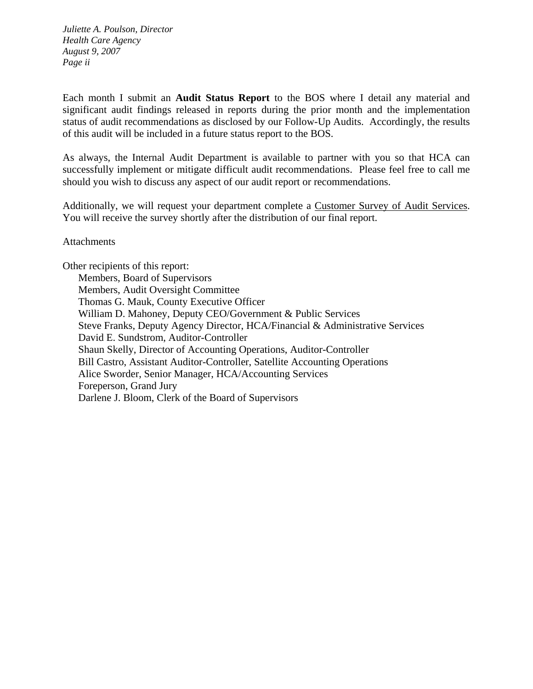*Juliette A. Poulson, Director Health Care Agency August 9, 2007 Page ii* 

Each month I submit an **Audit Status Report** to the BOS where I detail any material and significant audit findings released in reports during the prior month and the implementation status of audit recommendations as disclosed by our Follow-Up Audits. Accordingly, the results of this audit will be included in a future status report to the BOS.

As always, the Internal Audit Department is available to partner with you so that HCA can successfully implement or mitigate difficult audit recommendations. Please feel free to call me should you wish to discuss any aspect of our audit report or recommendations.

Additionally, we will request your department complete a Customer Survey of Audit Services. You will receive the survey shortly after the distribution of our final report.

**Attachments** 

Other recipients of this report: Members, Board of Supervisors Members, Audit Oversight Committee Thomas G. Mauk, County Executive Officer William D. Mahoney, Deputy CEO/Government & Public Services Steve Franks, Deputy Agency Director, HCA/Financial & Administrative Services David E. Sundstrom, Auditor-Controller Shaun Skelly, Director of Accounting Operations, Auditor-Controller Bill Castro, Assistant Auditor-Controller, Satellite Accounting Operations Alice Sworder, Senior Manager, HCA/Accounting Services Foreperson, Grand Jury Darlene J. Bloom, Clerk of the Board of Supervisors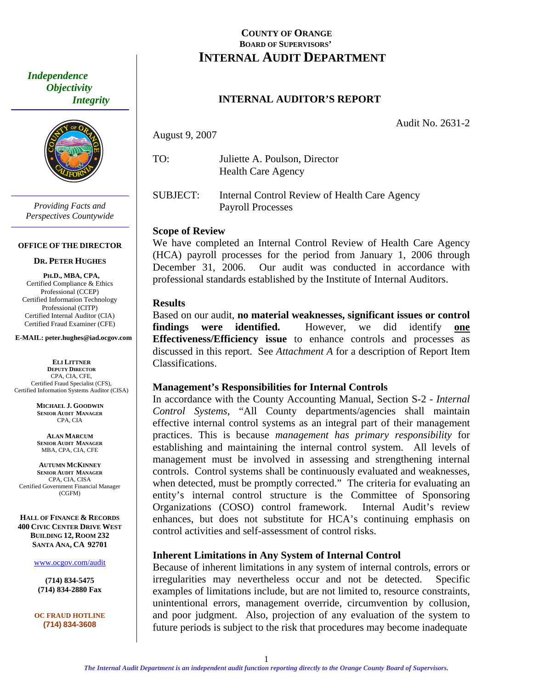<span id="page-4-0"></span> *Independence Objectivity Integrity* 



*Providing Facts and Perspectives Countywide* 

#### **OFFICE OF THE DIRECTOR**

#### **DR. PETER HUGHES**

**PH.D., MBA, CPA,**  Certified Compliance & Ethics Professional (CCEP) Certified Information Technology Professional (CITP) Certified Internal Auditor (CIA) Certified Fraud Examiner (CFE)

**E-MAIL: peter.hughes@iad.ocgov.com** 

**ELI LITTNER DEPUTY DIRECTOR** CPA, CIA, CFE, Certified Fraud Specialist (CFS), Certified Information Systems Auditor (CISA)

> **MICHAEL J. GOODWIN SENIOR AUDIT MANAGER** CPA, CIA

**ALAN MARCUM SENIOR AUDIT MANAGER** MBA, CPA, CIA, CFE

**AUTUMN MCKINNEY SENIOR AUDIT MANAGER** CPA, CIA, CISA Certified Government Financial Manager (CGFM)

**HALL OF FINANCE & RECORDS 400 CIVIC CENTER DRIVE WEST BUILDING 12, ROOM 232 SANTA ANA, CA 92701** 

www.ocgov.com/audit

**(714) 834-5475 (714) 834-2880 Fax** 

**OC FRAUD HOTLINE (714) 834-3608** 

### **COUNTY OF ORANGE BOARD OF SUPERVISORS' INTERNAL AUDIT DEPARTMENT**

### **INTERNAL AUDITOR'S REPORT**

Audit No. 2631-2

August 9, 2007

TO: Juliette A. Poulson, Director Health Care Agency

SUBJECT: Internal Control Review of Health Care Agency Payroll Processes

#### **Scope of Review**

We have completed an Internal Control Review of Health Care Agency (HCA) payroll processes for the period from January 1, 2006 through December 31, 2006. Our audit was conducted in accordance with professional standards established by the Institute of Internal Auditors.

#### **Results**

Based on our audit, **no material weaknesses, significant issues or control findings were identified.** However, we did identify **one Effectiveness/Efficiency issue** to enhance controls and processes as discussed in this report. See *Attachment A* for a description of Report Item Classifications.

#### **Management's Responsibilities for Internal Controls**

In accordance with the County Accounting Manual, Section S-2 - *Internal Control Systems*, "All County departments/agencies shall maintain effective internal control systems as an integral part of their management practices. This is because *management has primary responsibility* for establishing and maintaining the internal control system. All levels of management must be involved in assessing and strengthening internal controls. Control systems shall be continuously evaluated and weaknesses, when detected, must be promptly corrected." The criteria for evaluating an entity's internal control structure is the Committee of Sponsoring Organizations (COSO) control framework. Internal Audit's review enhances, but does not substitute for HCA's continuing emphasis on control activities and self-assessment of control risks.

#### **Inherent Limitations in Any System of Internal Control**

Because of inherent limitations in any system of internal controls, errors or irregularities may nevertheless occur and not be detected. Specific examples of limitations include, but are not limited to, resource constraints, unintentional errors, management override, circumvention by collusion, and poor judgment. Also, projection of any evaluation of the system to future periods is subject to the risk that procedures may become inadequate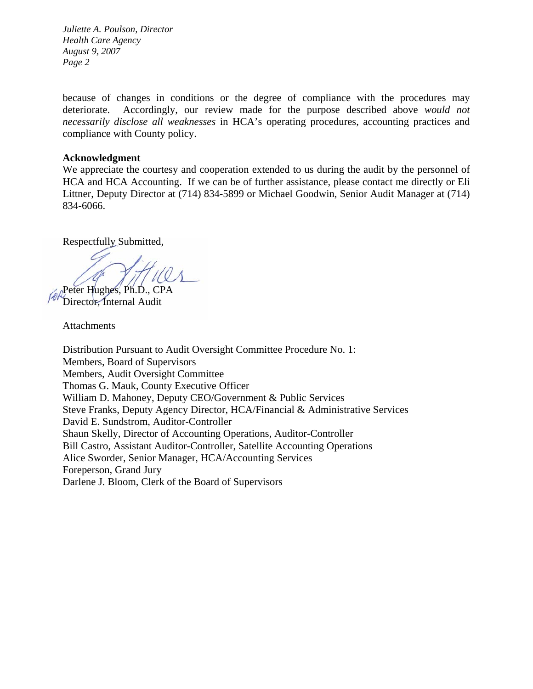*Juliette A. Poulson, Director Health Care Agency August 9, 2007 Page 2* 

because of changes in conditions or the degree of compliance with the procedures may deteriorate. Accordingly, our review made for the purpose described above *would not necessarily disclose all weaknesses* in HCA's operating procedures, accounting practices and compliance with County policy.

#### **Acknowledgment**

We appreciate the courtesy and cooperation extended to us during the audit by the personnel of HCA and HCA Accounting. If we can be of further assistance, please contact me directly or Eli Littner, Deputy Director at (714) 834-5899 or Michael Goodwin, Senior Audit Manager at (714) 834-6066.

Respectfully Submitted,

Peter Hughes, Ph.D., CPA

Director, Internal Audit

Attachments

Distribution Pursuant to Audit Oversight Committee Procedure No. 1: Members, Board of Supervisors Members, Audit Oversight Committee Thomas G. Mauk, County Executive Officer William D. Mahoney, Deputy CEO/Government & Public Services Steve Franks, Deputy Agency Director, HCA/Financial & Administrative Services David E. Sundstrom, Auditor-Controller Shaun Skelly, Director of Accounting Operations, Auditor-Controller Bill Castro, Assistant Auditor-Controller, Satellite Accounting Operations Alice Sworder, Senior Manager, HCA/Accounting Services Foreperson, Grand Jury Darlene J. Bloom, Clerk of the Board of Supervisors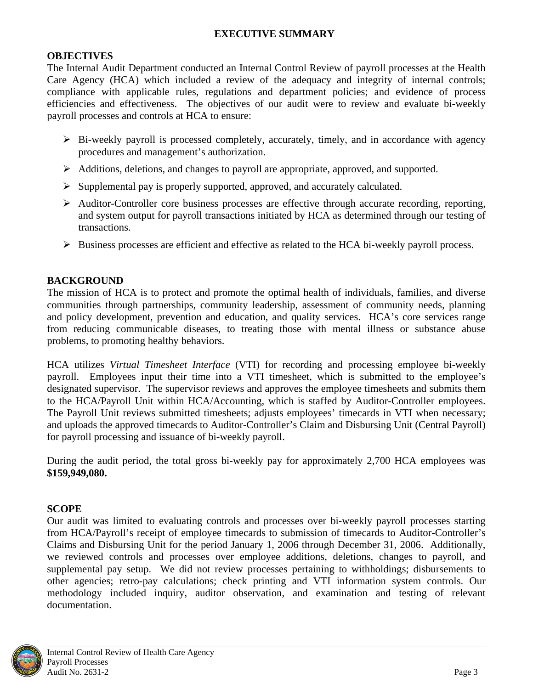# **EXECUTIVE SUMMARY**

### <span id="page-6-0"></span>**OBJECTIVES**

The Internal Audit Department conducted an Internal Control Review of payroll processes at the Health Care Agency (HCA) which included a review of the adequacy and integrity of internal controls; compliance with applicable rules, regulations and department policies; and evidence of process efficiencies and effectiveness. The objectives of our audit were to review and evaluate bi-weekly payroll processes and controls at HCA to ensure:

- $\triangleright$  Bi-weekly payroll is processed completely, accurately, timely, and in accordance with agency procedures and management's authorization.
- ¾ Additions, deletions, and changes to payroll are appropriate, approved, and supported.
- ¾ Supplemental pay is properly supported, approved, and accurately calculated.
- ¾ Auditor-Controller core business processes are effective through accurate recording, reporting, and system output for payroll transactions initiated by HCA as determined through our testing of transactions.
- $\triangleright$  Business processes are efficient and effective as related to the HCA bi-weekly payroll process.

# **BACKGROUND**

The mission of HCA is to protect and promote the optimal health of individuals, families, and diverse communities through partnerships, community leadership, assessment of community needs, planning and policy development, prevention and education, and quality services. HCA's core services range from reducing communicable diseases, to treating those with mental illness or substance abuse problems, to promoting healthy behaviors.

HCA utilizes *Virtual Timesheet Interface* (VTI) for recording and processing employee bi-weekly payroll. Employees input their time into a VTI timesheet, which is submitted to the employee's designated supervisor. The supervisor reviews and approves the employee timesheets and submits them to the HCA/Payroll Unit within HCA/Accounting, which is staffed by Auditor-Controller employees. The Payroll Unit reviews submitted timesheets; adjusts employees' timecards in VTI when necessary; and uploads the approved timecards to Auditor-Controller's Claim and Disbursing Unit (Central Payroll) for payroll processing and issuance of bi-weekly payroll.

During the audit period, the total gross bi-weekly pay for approximately 2,700 HCA employees was **\$159,949,080.**

#### **SCOPE**

Our audit was limited to evaluating controls and processes over bi-weekly payroll processes starting from HCA/Payroll's receipt of employee timecards to submission of timecards to Auditor-Controller's Claims and Disbursing Unit for the period January 1, 2006 through December 31, 2006. Additionally, we reviewed controls and processes over employee additions, deletions, changes to payroll, and supplemental pay setup. We did not review processes pertaining to withholdings; disbursements to other agencies; retro-pay calculations; check printing and VTI information system controls. Our methodology included inquiry, auditor observation, and examination and testing of relevant documentation.

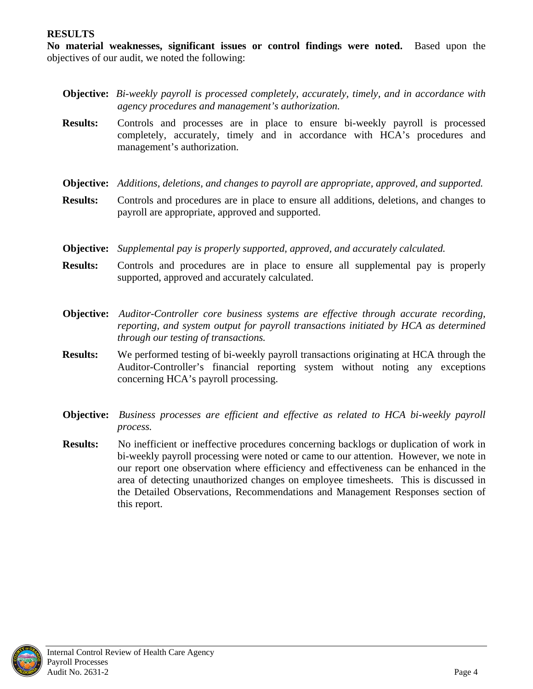#### <span id="page-7-0"></span>**RESULTS**

**No material weaknesses, significant issues or control findings were noted.** Based upon the objectives of our audit, we noted the following:

- **Objective:** *Bi-weekly payroll is processed completely, accurately, timely, and in accordance with agency procedures and management's authorization.*
- **Results:** Controls and processes are in place to ensure bi-weekly payroll is processed completely, accurately, timely and in accordance with HCA's procedures and management's authorization.
- **Objective:** *Additions, deletions, and changes to payroll are appropriate, approved, and supported.*
- **Results:** Controls and procedures are in place to ensure all additions, deletions, and changes to payroll are appropriate, approved and supported.
- **Objective:** *Supplemental pay is properly supported, approved, and accurately calculated.*
- **Results:** Controls and procedures are in place to ensure all supplemental pay is properly supported, approved and accurately calculated.
- **Objective:** *Auditor-Controller core business systems are effective through accurate recording, reporting, and system output for payroll transactions initiated by HCA as determined through our testing of transactions.*
- **Results:** We performed testing of bi-weekly payroll transactions originating at HCA through the Auditor-Controller's financial reporting system without noting any exceptions concerning HCA's payroll processing.
- **Objective:** *Business processes are efficient and effective as related to HCA bi-weekly payroll process.*
- **Results:** No inefficient or ineffective procedures concerning backlogs or duplication of work in bi-weekly payroll processing were noted or came to our attention. However, we note in our report one observation where efficiency and effectiveness can be enhanced in the area of detecting unauthorized changes on employee timesheets. This is discussed in the Detailed Observations, Recommendations and Management Responses section of this report.

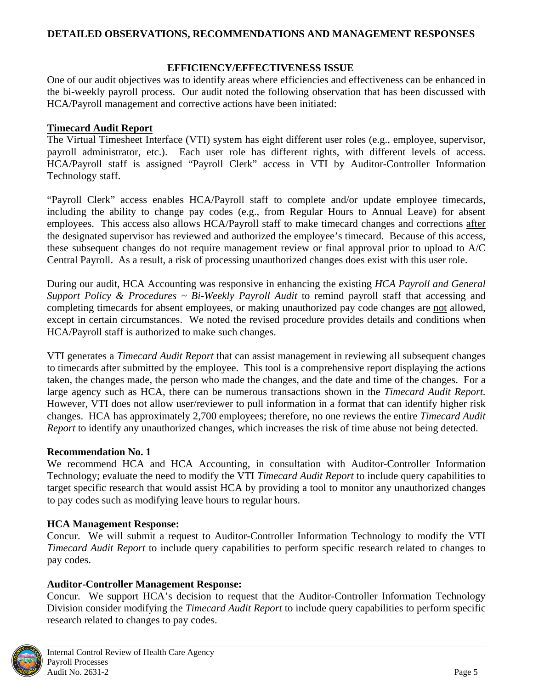# <span id="page-8-0"></span>**DETAILED OBSERVATIONS, RECOMMENDATIONS AND MANAGEMENT RESPONSES**

### **EFFICIENCY/EFFECTIVENESS ISSUE**

One of our audit objectives was to identify areas where efficiencies and effectiveness can be enhanced in the bi-weekly payroll process. Our audit noted the following observation that has been discussed with HCA/Payroll management and corrective actions have been initiated:

# **Timecard Audit Report**

The Virtual Timesheet Interface (VTI) system has eight different user roles (e.g., employee, supervisor, payroll administrator, etc.). Each user role has different rights, with different levels of access. HCA/Payroll staff is assigned "Payroll Clerk" access in VTI by Auditor-Controller Information Technology staff.

"Payroll Clerk" access enables HCA/Payroll staff to complete and/or update employee timecards, including the ability to change pay codes (e.g., from Regular Hours to Annual Leave) for absent employees. This access also allows HCA/Payroll staff to make timecard changes and corrections after the designated supervisor has reviewed and authorized the employee's timecard. Because of this access, these subsequent changes do not require management review or final approval prior to upload to A/C Central Payroll. As a result, a risk of processing unauthorized changes does exist with this user role.

During our audit, HCA Accounting was responsive in enhancing the existing *HCA Payroll and General Support Policy & Procedures ~ Bi-Weekly Payroll Audit* to remind payroll staff that accessing and completing timecards for absent employees, or making unauthorized pay code changes are not allowed, except in certain circumstances. We noted the revised procedure provides details and conditions when HCA/Payroll staff is authorized to make such changes.

VTI generates a *Timecard Audit Report* that can assist management in reviewing all subsequent changes to timecards after submitted by the employee. This tool is a comprehensive report displaying the actions taken, the changes made, the person who made the changes, and the date and time of the changes. For a large agency such as HCA, there can be numerous transactions shown in the *Timecard Audit Report.* However, VTI does not allow user/reviewer to pull information in a format that can identify higher risk changes. HCA has approximately 2,700 employees; therefore, no one reviews the entire *Timecard Audit Report* to identify any unauthorized changes, which increases the risk of time abuse not being detected.

# **Recommendation No. 1**

We recommend HCA and HCA Accounting, in consultation with Auditor-Controller Information Technology; evaluate the need to modify the VTI *Timecard Audit Report* to include query capabilities to target specific research that would assist HCA by providing a tool to monitor any unauthorized changes to pay codes such as modifying leave hours to regular hours.

# **HCA Management Response:**

Concur. We will submit a request to Auditor-Controller Information Technology to modify the VTI *Timecard Audit Report* to include query capabilities to perform specific research related to changes to pay codes.

# **Auditor-Controller Management Response:**

Concur. We support HCA's decision to request that the Auditor-Controller Information Technology Division consider modifying the *Timecard Audit Report* to include query capabilities to perform specific research related to changes to pay codes.

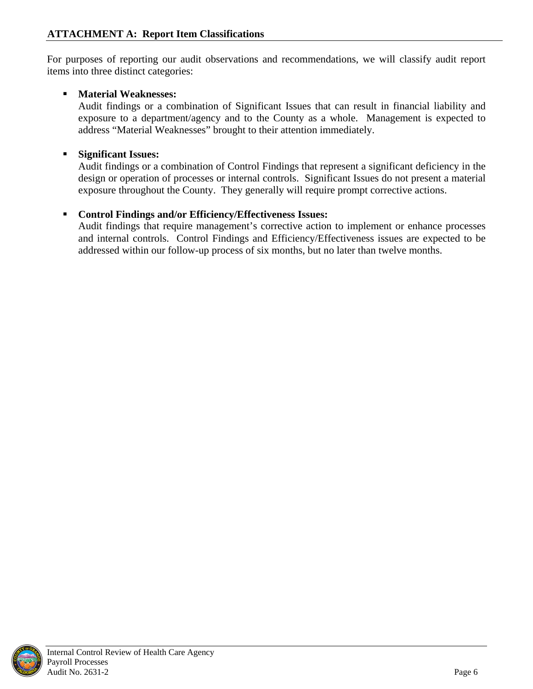<span id="page-9-0"></span>For purposes of reporting our audit observations and recommendations, we will classify audit report items into three distinct categories:

# **Material Weaknesses:**

Audit findings or a combination of Significant Issues that can result in financial liability and exposure to a department/agency and to the County as a whole. Management is expected to address "Material Weaknesses" brought to their attention immediately.

# **Significant Issues:**

Audit findings or a combination of Control Findings that represent a significant deficiency in the design or operation of processes or internal controls. Significant Issues do not present a material exposure throughout the County. They generally will require prompt corrective actions.

# **Control Findings and/or Efficiency/Effectiveness Issues:**

Audit findings that require management's corrective action to implement or enhance processes and internal controls.Control Findings and Efficiency/Effectiveness issues are expected to be addressed within our follow-up process of six months, but no later than twelve months.

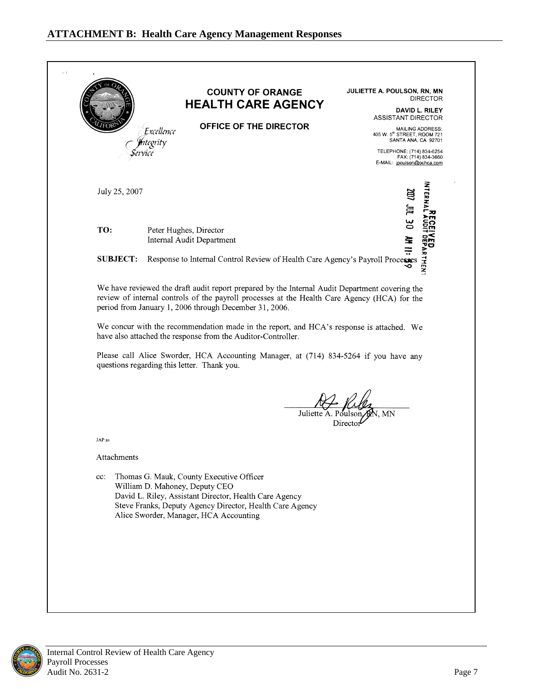<span id="page-10-0"></span>

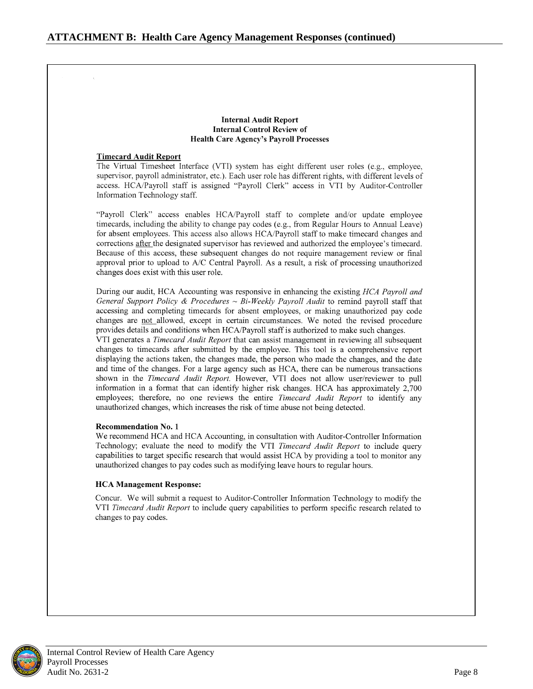#### **Internal Audit Report Internal Control Review of Health Care Agency's Payroll Processes**

#### **Timecard Audit Report**

The Virtual Timesheet Interface (VTI) system has eight different user roles (e.g., employee, supervisor, payroll administrator, etc.). Each user role has different rights, with different levels of access. HCA/Payroll staff is assigned "Payroll Clerk" access in VTI by Auditor-Controller Information Technology staff.

"Payroll Clerk" access enables HCA/Payroll staff to complete and/or update employee timecards, including the ability to change pay codes (e.g., from Regular Hours to Annual Leave) for absent employees. This access also allows HCA/Payroll staff to make timecard changes and corrections after the designated supervisor has reviewed and authorized the employee's timecard. Because of this access, these subsequent changes do not require management review or final approval prior to upload to A/C Central Payroll. As a result, a risk of processing unauthorized changes does exist with this user role.

During our audit, HCA Accounting was responsive in enhancing the existing HCA Payroll and General Support Policy & Procedures ~ Bi-Weekly Payroll Audit to remind payroll staff that accessing and completing timecards for absent employees, or making unauthorized pay code changes are not allowed, except in certain circumstances. We noted the revised procedure provides details and conditions when HCA/Payroll staff is authorized to make such changes.

VTI generates a *Timecard Audit Report* that can assist management in reviewing all subsequent changes to timecards after submitted by the employee. This tool is a comprehensive report displaying the actions taken, the changes made, the person who made the changes, and the date and time of the changes. For a large agency such as HCA, there can be numerous transactions shown in the Timecard Audit Report. However, VTI does not allow user/reviewer to pull information in a format that can identify higher risk changes. HCA has approximately 2,700 employees; therefore, no one reviews the entire Timecard Audit Report to identify any unauthorized changes, which increases the risk of time abuse not being detected.

#### **Recommendation No. 1**

We recommend HCA and HCA Accounting, in consultation with Auditor-Controller Information Technology; evaluate the need to modify the VTI Timecard Audit Report to include query capabilities to target specific research that would assist HCA by providing a tool to monitor any unauthorized changes to pay codes such as modifying leave hours to regular hours.

#### **HCA Management Response:**

Concur. We will submit a request to Auditor-Controller Information Technology to modify the VTI Timecard Audit Report to include query capabilities to perform specific research related to changes to pay codes.

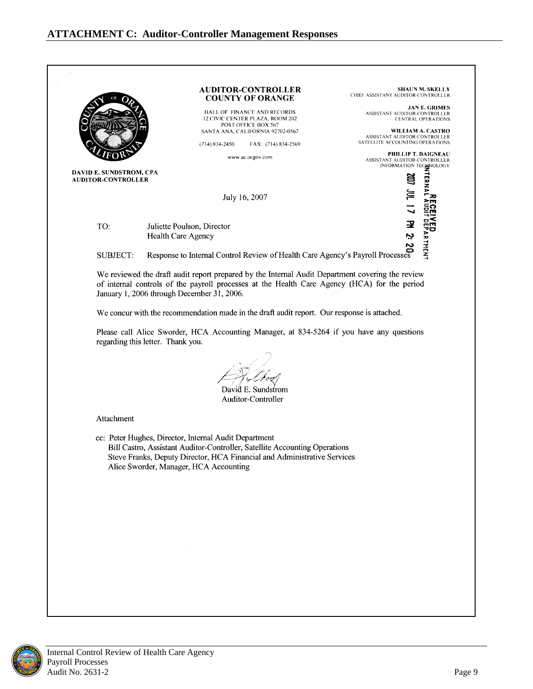<span id="page-12-0"></span>

| HALL OF FINANCE AND RECORDS<br>12 CIVIC CENTER PLAZA, ROOM 202<br>POST OFFICE BOX 567<br>SANTA ANA, CALIFORNIA 92702-0567<br>$(714) 834 - 2450$<br>FAX: (714) 834-2569<br>www.ac.ocgov.com<br>DAVID E. SUNDSTROM, CPA<br>July 16, 2007<br>Response to Internal Control Review of Health Care Agency's Payroll Processes<br>the draft audit report prepared by the Internal Audit Departure and and the payroll processes<br>throwed F<br>We reviewed the draft audit report prepared by the Internal Audit Department covering the review | JAN E. GRIMES<br>ASSISTANT AUDITOR-CONTROLLER<br><b>CENTRAL OPERATIONS</b><br>WILLIAM A. CASTRO<br>ASSISTANT AUDITOR-CONTROLLER<br>SATELLITE ACCOUNTING OPERATIONS<br>TERMA<br><b>TAL TOO</b><br>УЕР<br>1959 АКТНЕНТ                                                            |
|-------------------------------------------------------------------------------------------------------------------------------------------------------------------------------------------------------------------------------------------------------------------------------------------------------------------------------------------------------------------------------------------------------------------------------------------------------------------------------------------------------------------------------------------|---------------------------------------------------------------------------------------------------------------------------------------------------------------------------------------------------------------------------------------------------------------------------------|
|                                                                                                                                                                                                                                                                                                                                                                                                                                                                                                                                           |                                                                                                                                                                                                                                                                                 |
|                                                                                                                                                                                                                                                                                                                                                                                                                                                                                                                                           | <b>PHILLIP T. DAIGNEAU</b><br>ASSISTANT AUDITOR-CONTROLLER<br>INFORMATION TECHNOLOGY                                                                                                                                                                                            |
|                                                                                                                                                                                                                                                                                                                                                                                                                                                                                                                                           |                                                                                                                                                                                                                                                                                 |
|                                                                                                                                                                                                                                                                                                                                                                                                                                                                                                                                           |                                                                                                                                                                                                                                                                                 |
|                                                                                                                                                                                                                                                                                                                                                                                                                                                                                                                                           |                                                                                                                                                                                                                                                                                 |
|                                                                                                                                                                                                                                                                                                                                                                                                                                                                                                                                           |                                                                                                                                                                                                                                                                                 |
|                                                                                                                                                                                                                                                                                                                                                                                                                                                                                                                                           |                                                                                                                                                                                                                                                                                 |
|                                                                                                                                                                                                                                                                                                                                                                                                                                                                                                                                           |                                                                                                                                                                                                                                                                                 |
|                                                                                                                                                                                                                                                                                                                                                                                                                                                                                                                                           |                                                                                                                                                                                                                                                                                 |
| We concur with the recommendation made in the draft audit report. Our response is attached.<br>Please call Alice Sworder, HCA Accounting Manager, at 834-5264 if you have any questions<br>regarding this letter. Thank you.<br>David E. Sundstrom                                                                                                                                                                                                                                                                                        |                                                                                                                                                                                                                                                                                 |
|                                                                                                                                                                                                                                                                                                                                                                                                                                                                                                                                           |                                                                                                                                                                                                                                                                                 |
|                                                                                                                                                                                                                                                                                                                                                                                                                                                                                                                                           |                                                                                                                                                                                                                                                                                 |
|                                                                                                                                                                                                                                                                                                                                                                                                                                                                                                                                           |                                                                                                                                                                                                                                                                                 |
|                                                                                                                                                                                                                                                                                                                                                                                                                                                                                                                                           | Auditor-Controller<br>cc: Peter Hughes, Director, Internal Audit Department<br>Bill Castro, Assistant Auditor-Controller, Satellite Accounting Operations<br>Steve Franks, Deputy Director, HCA Financial and Administrative Services<br>Alice Sworder, Manager, HCA Accounting |